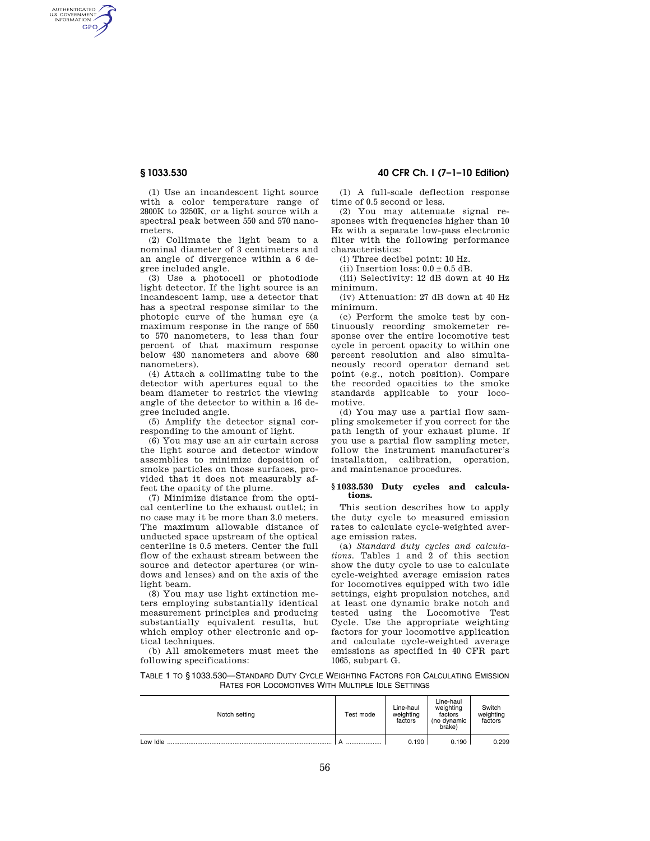AUTHENTICATED<br>U.S. GOVERNMENT<br>INFORMATION GPO

> (1) Use an incandescent light source with a color temperature range of 2800K to 3250K, or a light source with a spectral peak between 550 and 570 nanometers.

(2) Collimate the light beam to a nominal diameter of 3 centimeters and an angle of divergence within a 6 degree included angle.

(3) Use a photocell or photodiode light detector. If the light source is an incandescent lamp, use a detector that has a spectral response similar to the photopic curve of the human eye (a maximum response in the range of 550 to 570 nanometers, to less than four percent of that maximum response below 430 nanometers and above 680 nanometers).

(4) Attach a collimating tube to the detector with apertures equal to the beam diameter to restrict the viewing angle of the detector to within a 16 degree included angle.

(5) Amplify the detector signal corresponding to the amount of light.

(6) You may use an air curtain across the light source and detector window assemblies to minimize deposition of smoke particles on those surfaces, provided that it does not measurably affect the opacity of the plume.

(7) Minimize distance from the optical centerline to the exhaust outlet; in no case may it be more than 3.0 meters. The maximum allowable distance of unducted space upstream of the optical centerline is 0.5 meters. Center the full flow of the exhaust stream between the source and detector apertures (or windows and lenses) and on the axis of the light beam.

(8) You may use light extinction meters employing substantially identical measurement principles and producing substantially equivalent results, but which employ other electronic and optical techniques.

(b) All smokemeters must meet the following specifications:

# **§ 1033.530 40 CFR Ch. I (7–1–10 Edition)**

(1) A full-scale deflection response time of 0.5 second or less.

(2) You may attenuate signal responses with frequencies higher than 10 Hz with a separate low-pass electronic filter with the following performance characteristics:

(i) Three decibel point: 10 Hz.

(ii) Insertion loss:  $0.0 \pm 0.5$  dB.

(iii) Selectivity: 12 dB down at 40 Hz minimum.

(iv) Attenuation: 27 dB down at 40 Hz minimum.

(c) Perform the smoke test by continuously recording smokemeter response over the entire locomotive test cycle in percent opacity to within one percent resolution and also simultaneously record operator demand set point (e.g., notch position). Compare the recorded opacities to the smoke standards applicable to your locomotive.

(d) You may use a partial flow sampling smokemeter if you correct for the path length of your exhaust plume. If you use a partial flow sampling meter, follow the instrument manufacturer's installation, calibration, operation, and maintenance procedures.

## **§ 1033.530 Duty cycles and calculations.**

This section describes how to apply the duty cycle to measured emission rates to calculate cycle-weighted average emission rates.

(a) *Standard duty cycles and calculations.* Tables 1 and 2 of this section show the duty cycle to use to calculate cycle-weighted average emission rates for locomotives equipped with two idle settings, eight propulsion notches, and at least one dynamic brake notch and tested using the Locomotive Test Cycle. Use the appropriate weighting factors for your locomotive application and calculate cycle-weighted average emissions as specified in 40 CFR part 1065, subpart G.

TABLE 1 TO § 1033.530—STANDARD DUTY CYCLE WEIGHTING FACTORS FOR CALCULATING EMISSION RATES FOR LOCOMOTIVES WITH MULTIPLE IDLE SETTINGS

| Notch setting | Test mode | Line-haul<br>weighting<br>factors | Line-haul<br>weighting<br>factors<br>(no dynamic<br>brake) | Switch<br>weighting<br>factors |
|---------------|-----------|-----------------------------------|------------------------------------------------------------|--------------------------------|
| Low Idle      |           | 0.190                             | 0.190                                                      | 0.299                          |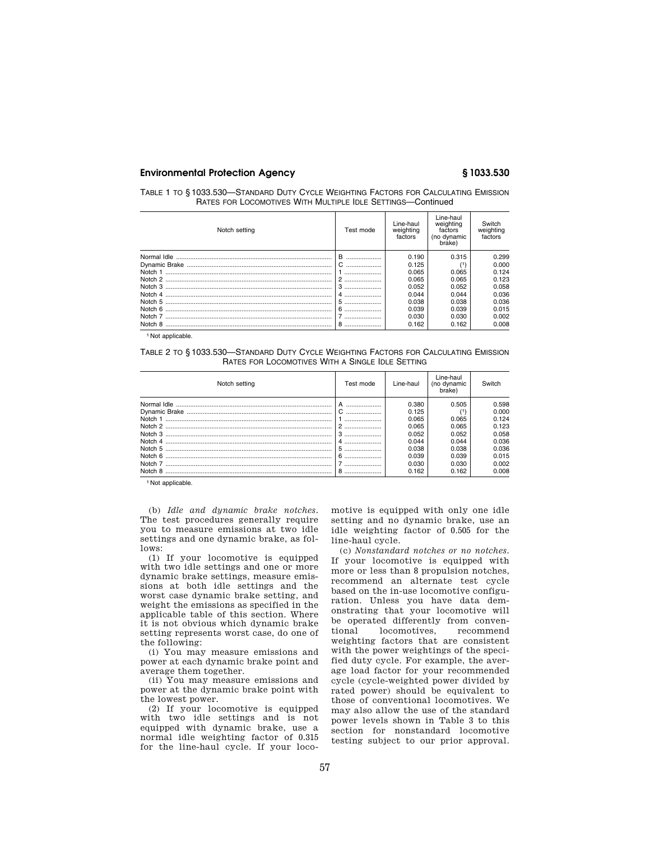# **Environmental Protection Agency § 1033.530**

| TABLE 1 TO § 1033.530—STANDARD DUTY CYCLE WEIGHTING FACTORS FOR CALCULATING EMISSION |  |
|--------------------------------------------------------------------------------------|--|
| RATES FOR LOCOMOTIVES WITH MULTIPLE IDLE SETTINGS-Continued                          |  |

| Notch setting | Test mode | Line-haul<br>weighting<br>factors | Line-haul<br>weighting<br>factors<br>(no dynamic<br>brake) | Switch<br>weighting<br>factors |
|---------------|-----------|-----------------------------------|------------------------------------------------------------|--------------------------------|
|               | в<br>     | 0.190                             | 0.315                                                      | 0.299                          |
|               |           | 0.125                             |                                                            | 0.000                          |
|               |           | 0.065                             | 0.065                                                      | 0.124                          |
|               | 2         | 0.065                             | 0.065                                                      | 0.123                          |
|               | 3         | 0.052                             | 0.052                                                      | 0.058                          |
|               |           | 0.044                             | 0.044                                                      | 0.036                          |
|               | 5         | 0.038                             | 0.038                                                      | 0.036                          |
|               | 6         | 0.039                             | 0.039                                                      | 0.015                          |
|               |           | 0.030                             | 0.030                                                      | 0.002                          |
| Notch 8       |           | 0.162                             | 0.162                                                      | 0.008                          |

<sup>1</sup> Not applicable.

TABLE 2 TO § 1033.530—STANDARD DUTY CYCLE WEIGHTING FACTORS FOR CALCULATING EMISSION RATES FOR LOCOMOTIVES WITH A SINGLE IDLE SETTING

| Notch setting | Test mode | Line-haul | Line-haul<br>(no dynamic<br>brake) | Switch |
|---------------|-----------|-----------|------------------------------------|--------|
|               |           | 0.380     | 0.505                              | 0.598  |
|               |           | 0.125     |                                    | 0.000  |
| Notch 1       |           | 0.065     | 0.065                              | 0.124  |
|               |           | 0.065     | 0.065                              | 0.123  |
|               | 3         | 0.052     | 0.052                              | 0.058  |
|               |           | 0.044     | 0.044                              | 0.036  |
| Notch 5       |           | 0.038     | 0.038                              | 0.036  |
|               | 6         | 0.039     | 0.039                              | 0.015  |
|               |           | 0.030     | 0.030                              | 0.002  |
| Notch 8       | 8         | 0.162     | 0.162                              | 0.008  |

<sup>1</sup> Not applicable.

(b) *Idle and dynamic brake notches.*  The test procedures generally require you to measure emissions at two idle settings and one dynamic brake, as follows:

(1) If your locomotive is equipped with two idle settings and one or more dynamic brake settings, measure emissions at both idle settings and the worst case dynamic brake setting, and weight the emissions as specified in the applicable table of this section. Where it is not obvious which dynamic brake setting represents worst case, do one of the following:

(i) You may measure emissions and power at each dynamic brake point and average them together.

(ii) You may measure emissions and power at the dynamic brake point with the lowest power.

(2) If your locomotive is equipped with two idle settings and is not equipped with dynamic brake, use a normal idle weighting factor of 0.315 for the line-haul cycle. If your locomotive is equipped with only one idle setting and no dynamic brake, use an idle weighting factor of 0.505 for the line-haul cycle.

(c) *Nonstandard notches or no notches.*  If your locomotive is equipped with more or less than 8 propulsion notches, recommend an alternate test cycle based on the in-use locomotive configuration. Unless you have data demonstrating that your locomotive will be operated differently from conventional locomotives, recommend weighting factors that are consistent with the power weightings of the specified duty cycle. For example, the average load factor for your recommended cycle (cycle-weighted power divided by rated power) should be equivalent to those of conventional locomotives. We may also allow the use of the standard power levels shown in Table 3 to this section for nonstandard locomotive testing subject to our prior approval.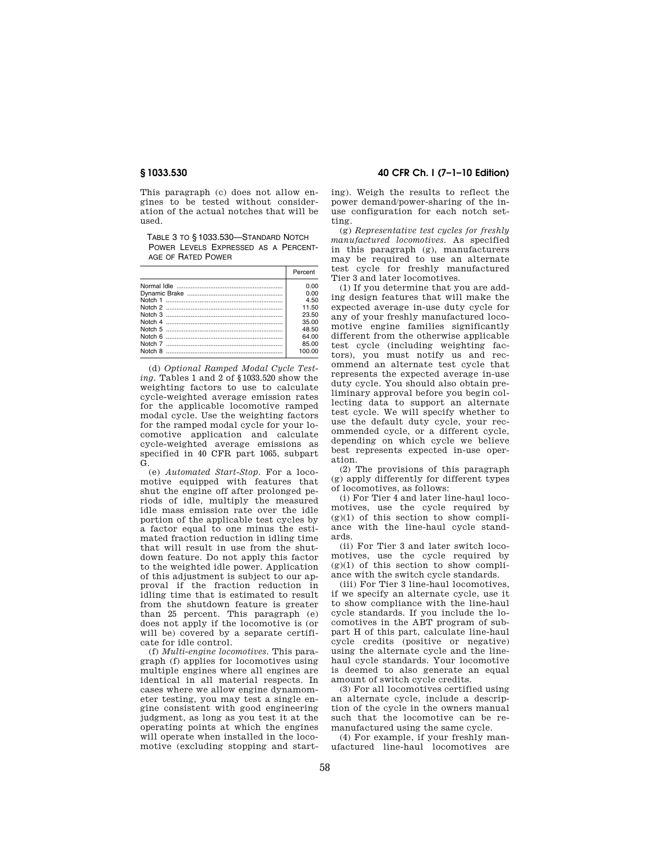This paragraph (c) does not allow engines to be tested without consideration of the actual notches that will be used.

TABLE 3 TO § 1033.530—STANDARD NOTCH POWER LEVELS EXPRESSED AS A PERCENT-AGE OF RATED POWER

| Percent |
|---------|
| 0.00    |
| 0.00    |
| 4.50    |
| 11.50   |
| 23.50   |
| 35.00   |
| 48.50   |
| 64.00   |
| 85.00   |
| 100.00  |

(d) *Optional Ramped Modal Cycle Testing.* Tables 1 and 2 of §1033.520 show the weighting factors to use to calculate cycle-weighted average emission rates for the applicable locomotive ramped modal cycle. Use the weighting factors for the ramped modal cycle for your locomotive application and calculate cycle-weighted average emissions as specified in 40 CFR part 1065, subpart G.

(e) *Automated Start-Stop.* For a locomotive equipped with features that shut the engine off after prolonged periods of idle, multiply the measured idle mass emission rate over the idle portion of the applicable test cycles by a factor equal to one minus the estimated fraction reduction in idling time that will result in use from the shutdown feature. Do not apply this factor to the weighted idle power. Application of this adjustment is subject to our approval if the fraction reduction in idling time that is estimated to result from the shutdown feature is greater than 25 percent. This paragraph (e) does not apply if the locomotive is (or will be) covered by a separate certificate for idle control.

(f) *Multi-engine locomotives.* This paragraph (f) applies for locomotives using multiple engines where all engines are identical in all material respects. In cases where we allow engine dynamometer testing, you may test a single engine consistent with good engineering judgment, as long as you test it at the operating points at which the engines will operate when installed in the locomotive (excluding stopping and start-

# **§ 1033.530 40 CFR Ch. I (7–1–10 Edition)**

ing). Weigh the results to reflect the power demand/power-sharing of the inuse configuration for each notch setting.

(g) *Representative test cycles for freshly manufactured locomotives.* As specified in this paragraph (g), manufacturers may be required to use an alternate test cycle for freshly manufactured Tier 3 and later locomotives.

(1) If you determine that you are adding design features that will make the expected average in-use duty cycle for any of your freshly manufactured locomotive engine families significantly different from the otherwise applicable test cycle (including weighting factors), you must notify us and recommend an alternate test cycle that represents the expected average in-use duty cycle. You should also obtain preliminary approval before you begin collecting data to support an alternate test cycle. We will specify whether to use the default duty cycle, your recommended cycle, or a different cycle, depending on which cycle we believe best represents expected in-use operation.

(2) The provisions of this paragraph (g) apply differently for different types of locomotives, as follows:

(i) For Tier 4 and later line-haul locomotives, use the cycle required by  $(g)(1)$  of this section to show compliance with the line-haul cycle standards.

(ii) For Tier 3 and later switch locomotives, use the cycle required by  $(g)(1)$  of this section to show compliance with the switch cycle standards.

(iii) For Tier 3 line-haul locomotives, if we specify an alternate cycle, use it to show compliance with the line-haul cycle standards. If you include the locomotives in the ABT program of subpart H of this part, calculate line-haul cycle credits (positive or negative) using the alternate cycle and the linehaul cycle standards. Your locomotive is deemed to also generate an equal amount of switch cycle credits.

(3) For all locomotives certified using an alternate cycle, include a description of the cycle in the owners manual such that the locomotive can be remanufactured using the same cycle.

(4) For example, if your freshly manufactured line-haul locomotives are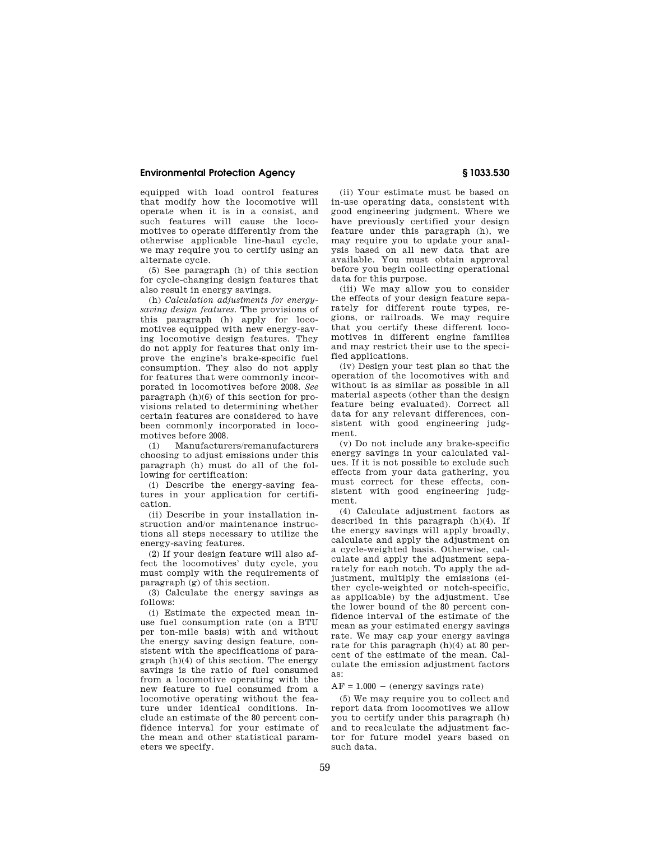## **Environmental Protection Agency § 1033.530**

equipped with load control features that modify how the locomotive will operate when it is in a consist, and such features will cause the locomotives to operate differently from the otherwise applicable line-haul cycle, we may require you to certify using an alternate cycle.

(5) See paragraph (h) of this section for cycle-changing design features that also result in energy savings.

(h) *Calculation adjustments for energysaving design features.* The provisions of this paragraph (h) apply for locomotives equipped with new energy-saving locomotive design features. They do not apply for features that only improve the engine's brake-specific fuel consumption. They also do not apply for features that were commonly incorporated in locomotives before 2008. *See*  paragraph (h)(6) of this section for provisions related to determining whether certain features are considered to have been commonly incorporated in locomotives before 2008.

(1) Manufacturers/remanufacturers choosing to adjust emissions under this paragraph (h) must do all of the following for certification:

(i) Describe the energy-saving features in your application for certification.

(ii) Describe in your installation instruction and/or maintenance instructions all steps necessary to utilize the energy-saving features.

(2) If your design feature will also affect the locomotives' duty cycle, you must comply with the requirements of paragraph (g) of this section.

(3) Calculate the energy savings as follows:

(i) Estimate the expected mean inuse fuel consumption rate (on a BTU per ton-mile basis) with and without the energy saving design feature, consistent with the specifications of paragraph (h)(4) of this section. The energy savings is the ratio of fuel consumed from a locomotive operating with the new feature to fuel consumed from a locomotive operating without the feature under identical conditions. Include an estimate of the 80 percent confidence interval for your estimate of the mean and other statistical parameters we specify.

(ii) Your estimate must be based on in-use operating data, consistent with good engineering judgment. Where we have previously certified your design feature under this paragraph (h), we may require you to update your analysis based on all new data that are available. You must obtain approval before you begin collecting operational data for this purpose.

(iii) We may allow you to consider the effects of your design feature separately for different route types, regions, or railroads. We may require that you certify these different locomotives in different engine families and may restrict their use to the specified applications.

(iv) Design your test plan so that the operation of the locomotives with and without is as similar as possible in all material aspects (other than the design feature being evaluated). Correct all data for any relevant differences, consistent with good engineering judgment.

(v) Do not include any brake-specific energy savings in your calculated values. If it is not possible to exclude such effects from your data gathering, you must correct for these effects, consistent with good engineering judgment.

(4) Calculate adjustment factors as described in this paragraph (h)(4). If the energy savings will apply broadly, calculate and apply the adjustment on a cycle-weighted basis. Otherwise, calculate and apply the adjustment separately for each notch. To apply the adjustment, multiply the emissions (either cycle-weighted or notch-specific, as applicable) by the adjustment. Use the lower bound of the 80 percent confidence interval of the estimate of the mean as your estimated energy savings rate. We may cap your energy savings rate for this paragraph (h)(4) at 80 percent of the estimate of the mean. Calculate the emission adjustment factors as:

## $AF = 1.000 - (energy \, savings rate)$

(5) We may require you to collect and report data from locomotives we allow you to certify under this paragraph (h) and to recalculate the adjustment factor for future model years based on such data.